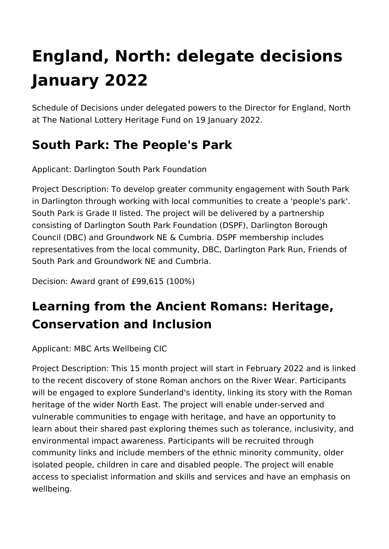# **England, North: delegate decisions January 2022**

Schedule of Decisions under delegated powers to the Director for England, North at The National Lottery Heritage Fund on 19 January 2022.

# **South Park: The People's Park**

Applicant: Darlington South Park Foundation

Project Description: To develop greater community engagement with South Park in Darlington through working with local communities to create a 'people's park'. South Park is Grade II listed. The project will be delivered by a partnership consisting of Darlington South Park Foundation (DSPF), Darlington Borough Council (DBC) and Groundwork NE & Cumbria. DSPF membership includes representatives from the local community, DBC, Darlington Park Run, Friends of South Park and Groundwork NE and Cumbria.

Decision: Award grant of £99,615 (100%)

# **Learning from the Ancient Romans: Heritage, Conservation and Inclusion**

Applicant: MBC Arts Wellbeing CIC

Project Description: This 15 month project will start in February 2022 and is linked to the recent discovery of stone Roman anchors on the River Wear. Participants will be engaged to explore Sunderland's identity, linking its story with the Roman heritage of the wider North East. The project will enable under-served and vulnerable communities to engage with heritage, and have an opportunity to learn about their shared past exploring themes such as tolerance, inclusivity, and environmental impact awareness. Participants will be recruited through community links and include members of the ethnic minority community, older isolated people, children in care and disabled people. The project will enable access to specialist information and skills and services and have an emphasis on wellbeing.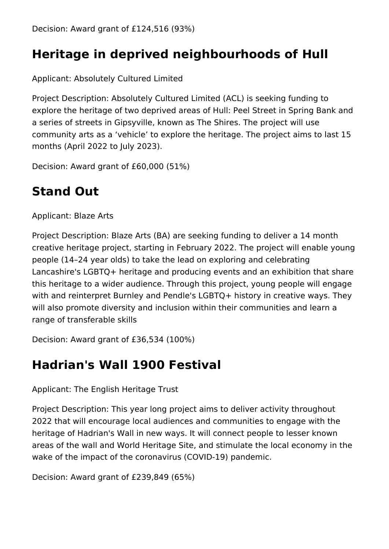# **Heritage in deprived neighbourhoods of Hull**

Applicant: Absolutely Cultured Limited

Project Description: Absolutely Cultured Limited (ACL) is seeking funding to explore the heritage of two deprived areas of Hull: Peel Street in Spring Bank and a series of streets in Gipsyville, known as The Shires. The project will use community arts as a 'vehicle' to explore the heritage. The project aims to last 15 months (April 2022 to July 2023).

Decision: Award grant of £60,000 (51%)

# **Stand Out**

Applicant: Blaze Arts

Project Description: Blaze Arts (BA) are seeking funding to deliver a 14 month creative heritage project, starting in February 2022. The project will enable young people (14–24 year olds) to take the lead on exploring and celebrating Lancashire's LGBTQ+ heritage and producing events and an exhibition that share this heritage to a wider audience. Through this project, young people will engage with and reinterpret Burnley and Pendle's LGBTQ+ history in creative ways. They will also promote diversity and inclusion within their communities and learn a range of transferable skills

Decision: Award grant of £36,534 (100%)

#### **Hadrian's Wall 1900 Festival**

#### Applicant: The English Heritage Trust

Project Description: This year long project aims to deliver activity throughout 2022 that will encourage local audiences and communities to engage with the heritage of Hadrian's Wall in new ways. It will connect people to lesser known areas of the wall and World Heritage Site, and stimulate the local economy in the wake of the impact of the coronavirus (COVID-19) pandemic.

Decision: Award grant of £239,849 (65%)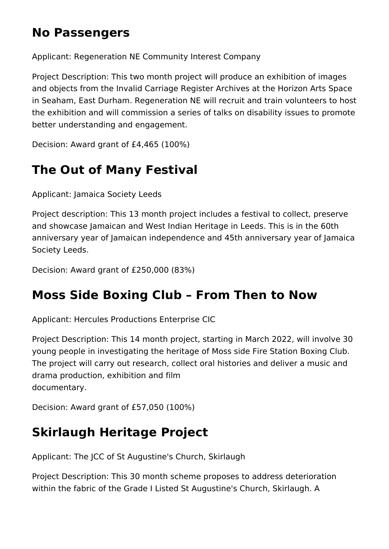#### **No Passengers**

Applicant: Regeneration NE Community Interest Company

Project Description: This two month project will produce an exhibition of images and objects from the Invalid Carriage Register Archives at the Horizon Arts Space in Seaham, East Durham. Regeneration NE will recruit and train volunteers to host the exhibition and will commission a series of talks on disability issues to promote better understanding and engagement.

Decision: Award grant of £4,465 (100%)

# **The Out of Many Festival**

Applicant: Jamaica Society Leeds

Project description: This 13 month project includes a festival to collect, preserve and showcase Jamaican and West Indian Heritage in Leeds. This is in the 60th anniversary year of Jamaican independence and 45th anniversary year of Jamaica Society Leeds.

Decision: Award grant of £250,000 (83%)

# **Moss Side Boxing Club – From Then to Now**

Applicant: Hercules Productions Enterprise CIC

Project Description: This 14 month project, starting in March 2022, will involve 30 young people in investigating the heritage of Moss side Fire Station Boxing Club. The project will carry out research, collect oral histories and deliver a music and drama production, exhibition and film documentary.

Decision: Award grant of £57,050 (100%)

# **Skirlaugh Heritage Project**

Applicant: The JCC of St Augustine's Church, Skirlaugh

Project Description: This 30 month scheme proposes to address deterioration within the fabric of the Grade I Listed St Augustine's Church, Skirlaugh. A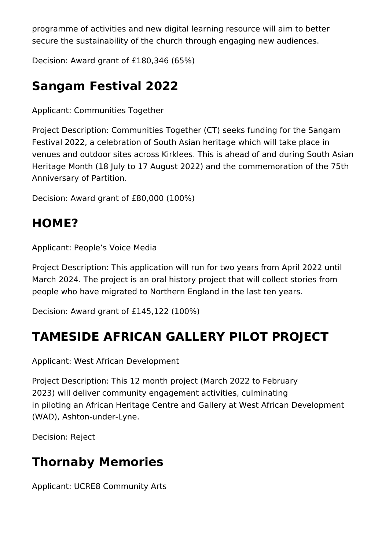programme of activities and new digital learning resource will aim to better secure the sustainability of the church through engaging new audiences.

Decision: Award grant of £180,346 (65%)

# **Sangam Festival 2022**

Applicant: Communities Together

Project Description: Communities Together (CT) seeks funding for the Sangam Festival 2022, a celebration of South Asian heritage which will take place in venues and outdoor sites across Kirklees. This is ahead of and during South Asian Heritage Month (18 July to 17 August 2022) and the commemoration of the 75th Anniversary of Partition.

Decision: Award grant of £80,000 (100%)

## **HOME?**

Applicant: People's Voice Media

Project Description: This application will run for two years from April 2022 until March 2024. The project is an oral history project that will collect stories from people who have migrated to Northern England in the last ten years.

Decision: Award grant of £145,122 (100%)

# **TAMESIDE AFRICAN GALLERY PILOT PROJECT**

Applicant: West African Development

Project Description: This 12 month project (March 2022 to February 2023) will deliver community engagement activities, culminating in piloting an African Heritage Centre and Gallery at West African Development (WAD), Ashton-under-Lyne.

Decision: Reject

#### **Thornaby Memories**

Applicant: UCRE8 Community Arts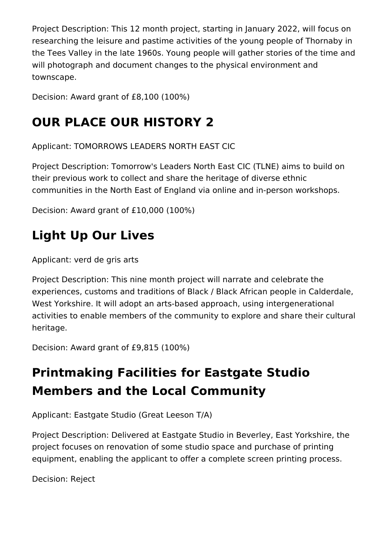Project Description: This 12 month project, starting in January 2022, will focus on researching the leisure and pastime activities of the young people of Thornaby in the Tees Valley in the late 1960s. Young people will gather stories of the time and will photograph and document changes to the physical environment and townscape.

Decision: Award grant of £8,100 (100%)

# **OUR PLACE OUR HISTORY 2**

Applicant: TOMORROWS LEADERS NORTH EAST CIC

Project Description: Tomorrow's Leaders North East CIC (TLNE) aims to build on their previous work to collect and share the heritage of diverse ethnic communities in the North East of England via online and in-person workshops.

Decision: Award grant of £10,000 (100%)

# **Light Up Our Lives**

Applicant: verd de gris arts

Project Description: This nine month project will narrate and celebrate the experiences, customs and traditions of Black / Black African people in Calderdale, West Yorkshire. It will adopt an arts-based approach, using intergenerational activities to enable members of the community to explore and share their cultural heritage.

Decision: Award grant of £9,815 (100%)

# **Printmaking Facilities for Eastgate Studio Members and the Local Community**

Applicant: Eastgate Studio (Great Leeson T/A)

Project Description: Delivered at Eastgate Studio in Beverley, East Yorkshire, the project focuses on renovation of some studio space and purchase of printing equipment, enabling the applicant to offer a complete screen printing process.

Decision: Reject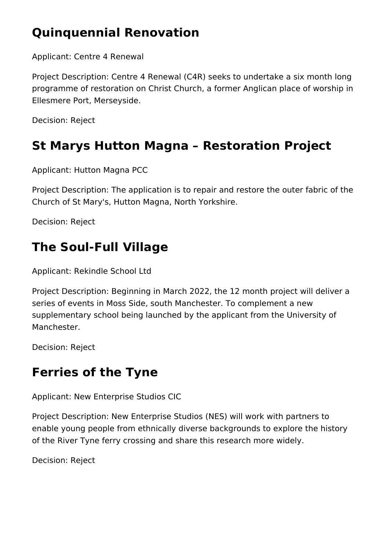# **Quinquennial Renovation**

Applicant: Centre 4 Renewal

Project Description: Centre 4 Renewal (C4R) seeks to undertake a six month long programme of restoration on Christ Church, a former Anglican place of worship in Ellesmere Port, Merseyside.

Decision: Reject

# **St Marys Hutton Magna – Restoration Project**

Applicant: Hutton Magna PCC

Project Description: The application is to repair and restore the outer fabric of the Church of St Mary's, Hutton Magna, North Yorkshire.

Decision: Reject

## **The Soul-Full Village**

Applicant: Rekindle School Ltd

Project Description: Beginning in March 2022, the 12 month project will deliver a series of events in Moss Side, south Manchester. To complement a new supplementary school being launched by the applicant from the University of Manchester.

Decision: Reject

# **Ferries of the Tyne**

Applicant: New Enterprise Studios CIC

Project Description: New Enterprise Studios (NES) will work with partners to enable young people from ethnically diverse backgrounds to explore the history of the River Tyne ferry crossing and share this research more widely.

Decision: Reject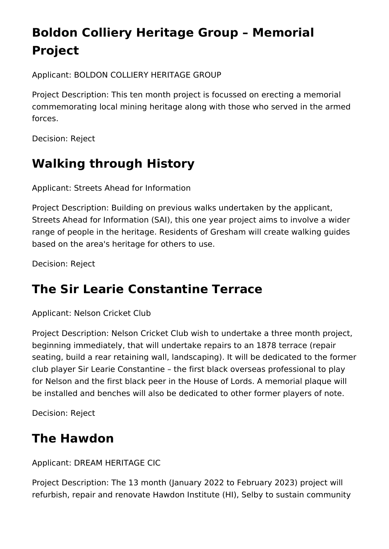# **Boldon Colliery Heritage Group – Memorial Project**

Applicant: BOLDON COLLIERY HERITAGE GROUP

Project Description: This ten month project is focussed on erecting a memorial commemorating local mining heritage along with those who served in the armed forces.

Decision: Reject

## **Walking through History**

Applicant: Streets Ahead for Information

Project Description: Building on previous walks undertaken by the applicant, Streets Ahead for Information (SAI), this one year project aims to involve a wider range of people in the heritage. Residents of Gresham will create walking guides based on the area's heritage for others to use.

Decision: Reject

#### **The Sir Learie Constantine Terrace**

Applicant: Nelson Cricket Club

Project Description: Nelson Cricket Club wish to undertake a three month project, beginning immediately, that will undertake repairs to an 1878 terrace (repair seating, build a rear retaining wall, landscaping). It will be dedicated to the former club player Sir Learie Constantine – the first black overseas professional to play for Nelson and the first black peer in the House of Lords. A memorial plaque will be installed and benches will also be dedicated to other former players of note.

Decision: Reject

#### **The Hawdon**

Applicant: DREAM HERITAGE CIC

Project Description: The 13 month (January 2022 to February 2023) project will refurbish, repair and renovate Hawdon Institute (HI), Selby to sustain community